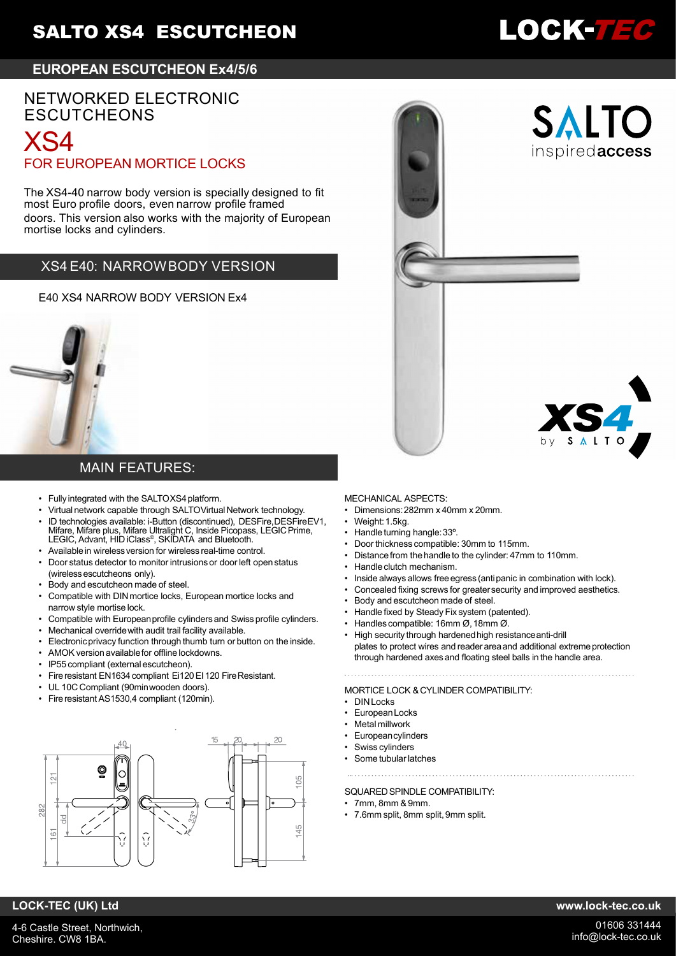# **SALTO XS4 ESCUTCHEON**

## **EUROPEAN ESCUTCHEON Ex4/5/6**

# NETWORKED ELECTRONIC **ESCUTCHEONS**

# XS4 FOR EUROPEAN MORTICE LOCKS

The XS4-40 narrow body version is specially designed to fit most Euro profile doors, even narrow profile framed doors. This version also works with the majority of European mortise locks and cylinders.

## XS4 E40: NARROWBODY VERSION

E40 XS4 NARROW BODY VERSION Ex4



#### //DATASHEET/OF DATASHEET/OF MAIN FEATURES:

- Fully integrated with the SALTOXS4 platform.<br>• Mittual potwerk capable through SALTOVittual
	- Virtual network capable through SALTOVirtual Network technology.
- ID technologies available: i-Button (discontinued), DESFire,DESFireEV1, Mifare, Mifare plus, Mifare Ultralight C, Inside Picopass, LEGIC Prime,<br>LEGIC, Advant, HID iClass®, SKIDATA and Bluetooth.
- Available in wireless version for wireless real-time control.
- Door status detector to monitor intrusions or door left open status (wireless escutcheons only).
	- Body and escutcheon made of steel.
- body and esculcheon made or sieer.<br>• Compatible with DIN mortice locks, European mortice locks and narrow style mortise lock.
	- Compatible with European profile cylinders and Swiss profile cylinders.
	- Mechanical overridewith audit trail facility available.
	- Electronic privacy function through thumb turn or button on the inside.
	- AMOK version availablefor offline lockdowns.
	- IP55 compliant (externalescutcheon).
	- Fire resistant EN1634 compliant Ei120 EI 120 Fire Resistant.
	- UL 10C Compliant (90minwooden doors).
	- Fireresistant AS1530,4 compliant (120min).



#### MECHANICAL ASPECTS:

- Dimensions:282mm x 40mm x 20mm.
- Weight: 1.5kg.
- Handle turning hangle:33º.
- Door thickness compatible: 30mm to 115mm.
- Distancefrom the handle to the cylinder: 47mm to 110mm.
- Handle clutch mechanism.
- Inside always allows freeegress (antipanic in combination with lock).
- Concealed fixing screws for greatersecurity and improved aesthetics.
- Body and escutcheon made of steel.
- Handle fixed by Steady Fix system (patented).
- Handles compatible: 16mm Ø,18mm Ø.
- High security through hardenedhigh resistanceanti-drill plates to protect wires and reader area and additional extreme protection through hardened axes and floating steel balls in the handle area.

#### MORTICE LOCK &CYLINDER COMPATIBILITY:

- **DINLocks**
- **Furopean Locks**
- Metal millwork
- **Europeancylinders**
- Swiss cylinders
- Some tubular latches

#### SOLIARED SPINDLE COMPATIBILITY:

- $\cdot$  7mm, 8mm & 9mm.
- 7.6mm split, 8mm split,9mm split.

## **LOCK-TEC (UK) Ltd www.lock-tec.co.uk**



SALTC

inspiredaccess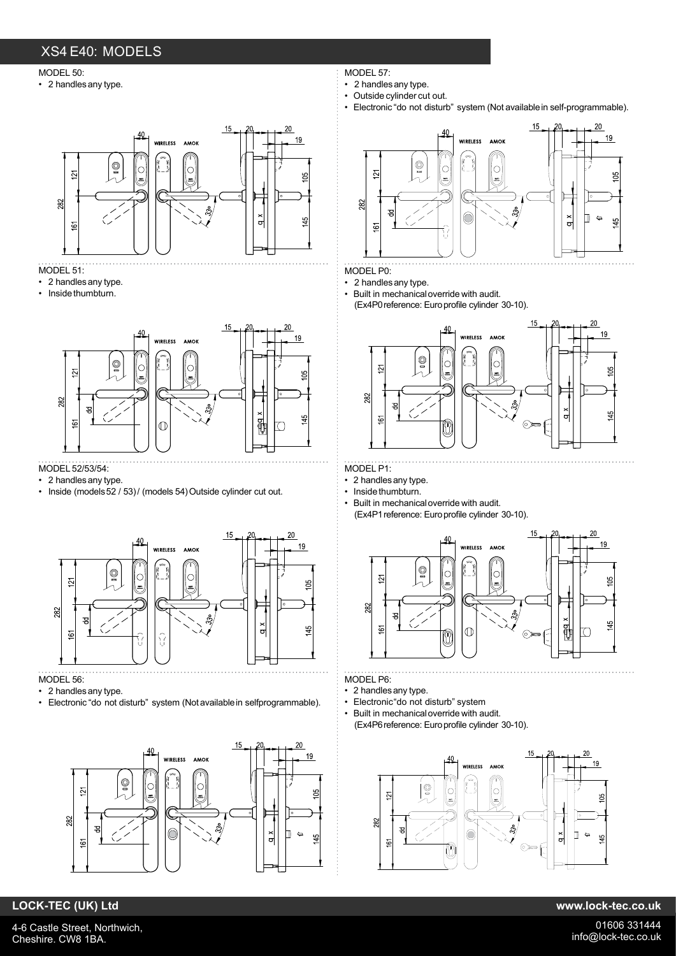## XS4 E40: MODELS

#### MODEL 50:

• 2 handlesany type.



#### MODEL 51:

- 2 handlesany type.
- Inside thumbturn.



### MODEL 52/53/54:

- 2 handlesany type.
- Inside (models 52 / 53)/ (models 54) Outside cylinder cut out.



- MODEL 56:
- 2 handlesany type.
- Electronic "do not disturb" system (Not available in selfprogrammable).



- MODEL 57:
- 2 handles any type.
- Outside cylinder cut out.
- Electronic "do not disturb" system (Not availablein self-programmable).



#### MODEL P0:

• 2 handlesany type.

• Built in mechanicaloverride with audit. (Ex4P0 reference: Euro profile cylinder 30-10).



#### MODEL P1:

- 2 handlesany type.
- Inside thumbturn.
- Built in mechanicaloverride with audit. (Ex4P1 reference: Euro profile cylinder 30-10).



- MODEL P6:
- 2 handlesany type.
- Electronic do not disturb" system<br>• Built in mochanical override with a
- Built in mechanical override with audit. (Ex4P6 reference: Euro profile cylinder 30-10).



## **LOCK-TEC (UK) Ltd www.lock-tec.co.uk**

4-6 Castle Street, Northwich, Cheshire. CW8 1BA.

01606 331444 info@lock-tec.co.uk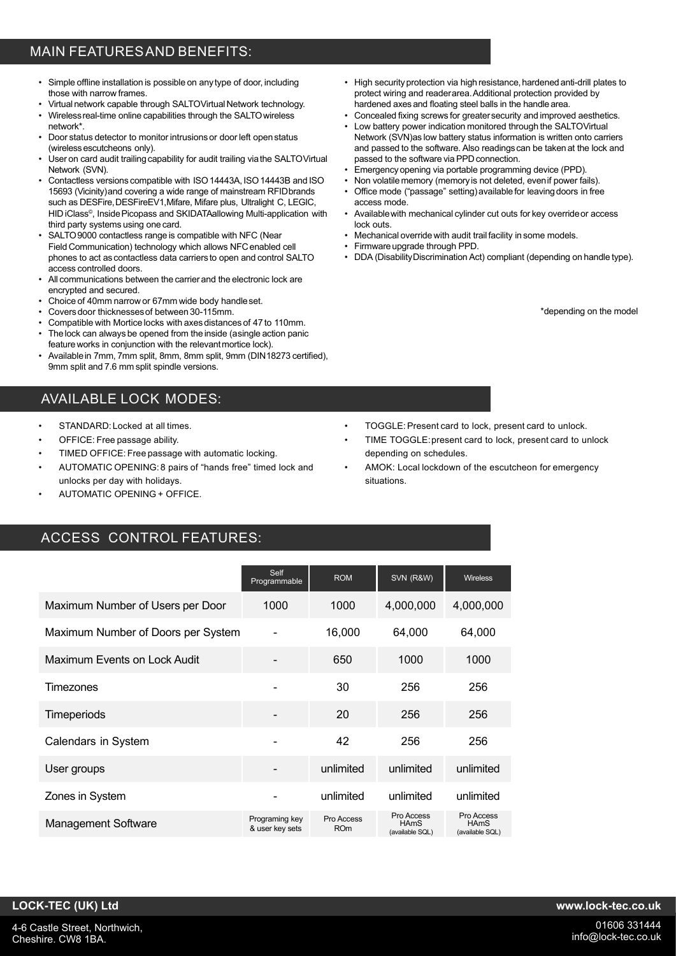## MAIN FEATURESAND BENEFITS:

- Simple offline installation is possible on any type of door, including those with narrow frames.
- Virtual network capable through SALTOVirtual Network technology.
- Wirelessreal-time online capabilities through the SALTOwireless network\*.
- Door status detector to monitor intrusions or door left open status (wireless escutcheons only).
- User on card audit trailing capability for audit trailing via the SALTOVirtual Network (SVN).
- Contactless versions compatible with ISO 14443A, ISO 14443B and ISO 15693 (Vicinity)and covering a wide range of mainstream RFIDbrands such as DESFire, DESFireEV1, Mifare, Mifare plus, Ultralight C, LEGIC, HID iClass© , InsidePicopass and SKIDATAallowing Multi-application with third party systems using onecard.
- SALTO9000 contactless range is compatible with NFC (Near Field Communication) technology which allows NFC enabled cell phones to act as contactless data carriers to open and control SALTO access controlled doors.
- All communications between the carrier and the electronic lock are encrypted and secured.
- Choice of 40mm narrow or 67mm wide body handleset.
- Covers door thicknesses of between 30-115mm.
- Compatible with Mortice locks with axes distances of 47 to 110mm
- The lock can always be opened from the inside (asingle action panic feature works in conjunction with the relevantmortice lock).
- Availablein 7mm, 7mm split, 8mm, 8mm split, 9mm (DIN18273 certified), 9mm split and 7.6 mm split spindle versions.

## AVAILABLE LOCK MODES:

- STANDARD: Locked at all times.
- OFFICE: Free passage ability.
- TIMED OFFICE: Free passage with automatic locking.
- AUTOMATIC OPENING: 8 pairs of "hands free" timed lock and unlocks per day with holidays.
- AUTOMATIC OPENING + OFFICE.

## ACCESS CONTROL FEATURES:

Self Programmable Maximum Number of Users per Door 1000 Maximum Number of Doors per System Maximum Events on Lock Audit **Timezones Timeperiods** Calendars in System User groups Zones in System ROM 1000 16,000 650 30 20 42 unlimited unlimited SVN (R&W) 4,000,000 64,000 1000 256 256 256 unlimited unlimited Management Software Programing key & user key sets Pro Access ROm Pro Access HAmS , uno<br>able SQL) Wireless 4,000,000 64,000 1000 256 256 256 unlimited unlimited Pro Access HAmS , **....**<br>able SQL)

- High security protection via high resistance, hardened anti-drill plates to protect wiring and readerarea.Additional protection provided by hardened axes and floating steel balls in the handle area.
- Concealed fixing screws for greatersecurity and improved aesthetics.
- Low battery power indication monitored through the SALTOVirtual Network (SVN)as low battery status information is written onto carriers and passed to the software. Also readingscan be takenat the lock and passed to the software via PPD connection.
- Emergencyopening via portable programming device (PPD).
- Non volatile memory (memoryis not deleted, evenif power fails). Office mode ("passage" setting) available for leaving doors in free
- access mode. • Availablewith mechanical cylinder cut outs for key overrideor access lock outs.
- Mechanical override with audit trail facility in some models.
- Firmware upgrade through PPD.
- DDA (DisabilityDiscrimination Act) compliant (depending on handle type).

\*depending on the model

- TOGGLE:Present card to lock, present card to unlock.
- TIME TOGGLE:present card to lock, present card to unlock depending on schedules.
- AMOK: Local lockdown of the escutcheon for emergency situations.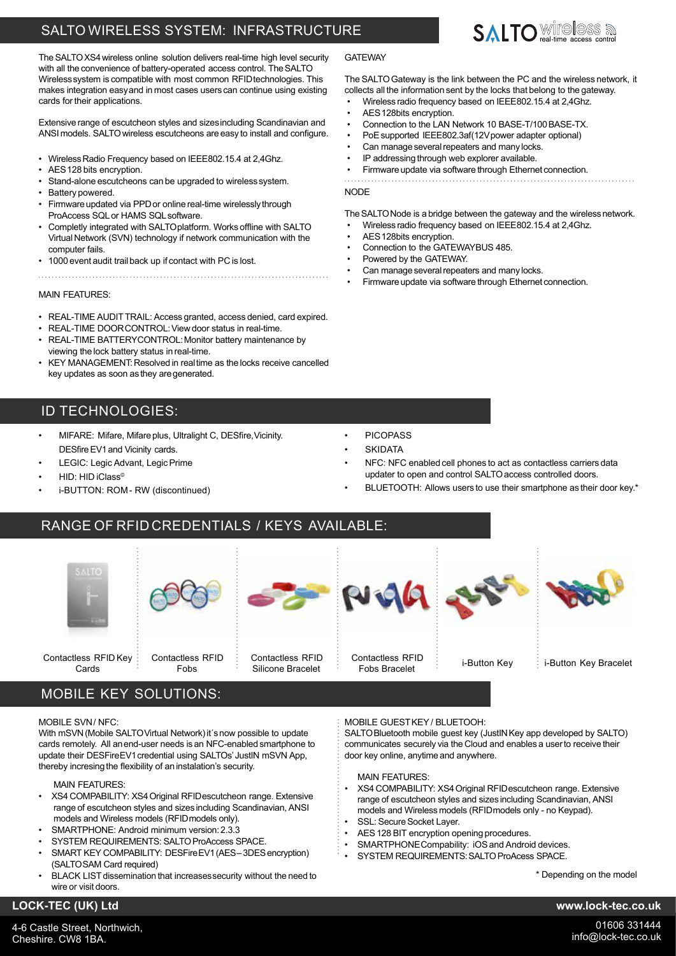## SALTO WIRELESS SYSTEM: INFRASTRUCTURE

The SALTO XS4 wireless online solution delivers real-time high level security with all the convenience of battery-operated access control. The SALTO Wirelesssystem is compatible with most common RFIDtechnologies. This makes integration easyand in most cases users can continue using existing cards for their applications.

Extensive range of escutcheon styles and sizesincluding Scandinavian and ANSI models. SALTOwireless escutcheons are easy to install and configure.

- Wireless Radio Frequency based on IEEE802.15.4 at 2,4Ghz.
- AES128 bits encryption.
- Stand-alone escutcheons can be upgraded to wireless system.
- Battery powered.
- Firmware updated via PPD or online real-time wirelessly through ProAccess SQLor HAMS SQLsoftware.
- Completly integrated with SALTOplatform. Works offline with SALTO Virtual Network (SVN) technology if network communication with the computer fails.
- 1000 event audit trail back up if contact with PC is lost.

#### MAIN FFATURES:

- REAL-TIME AUDIT TRAIL: Access granted, access denied, card expired.
- REAL-TIME DOORCONTROL:View door status in real-time. REAL-TIME BATTERYCONTROL: Monitor battery maintenance by viewing the lock battery status in real-time.
- KEY MANAGEMENT: Resolved in real time as the locks receive cancelled key updates as soon as they are generated.

## ID TECHNOLOGIES:

- MIFARE: Mifare, Mifare plus, Ultralight C, DESfire, Vicinity. DESfire EV1 and Vicinity cards.
- LEGIC: Legic Advant, Legic Prime
- HID: HID iClass©
- i-BUTTON: ROM- RW (discontinued)

## **GATEWAY**

The SALTO Gateway is the link between the PC and the wireless network, it collects all the information sent by the locks that belong to the gateway.

**SAITO** Wireless a

- Wireless radio frequency based on IEEE802.15.4 at 2,4Ghz.
- AES 128bits encryption.
- Connection to the LAN Network 10 BASE-T/100BASE-TX.
- PoE supported IEEE802.3af(12V power adapter optional)
- Can manage several repeaters and many locks.
- IP addressing through web explorer available.
- Firmware update via software through Ethernet connection. . . . . . . . . .

#### **NODE**

The SALTO Node is a bridge between the gateway and the wireless network.

- Wireless radio frequency based on IEEE802.15.4 at 2,4Ghz.
- AES 128bits encryption.
- Connection to the GATEWAYBUS 485.
- Powered by the GATEWAY.
- Can manage several repeaters and many locks.
- Firmware update via software through Ethernet connection.

- **PICOPASS**
- **SKIDATA**
- NFC: NFC enabled cell phones to act as contactless carriers data updater to open and control SALTOaccess controlled doors.
- BLUETOOTH: Allows users to use their smartphone as their door key.\*
- $-$  purch Contactless RFID Key Contactless RFID Contactless RFID Contactless RFID ontactiess KFID<br>Fobs Bracelet in i-Button Key ii-Button Key Bracelet

# MOBILE KEY SOLUTIONS:

#### MOBILE SVN/ NFC:

With mSVN (Mobile SALTO Virtual Network) it's now possible to update cards remotely. All anend-user needs is an NFC-enabled smartphone to update their DESFireEV1 credential using SALTOs' JustIN mSVN App, thereby incresing the flexibility of an instalation's security.

MAIN FEATURES:

- XS4 COMPABILITY: XS4Original RFIDescutcheon range. Extensive range of escutcheon styles and sizes including Scandinavian, ANSI models and Wireless models (RFIDmodels only).
- SMARTPHONE: Android minimum version:2.3.3
- SYSTEM REQUIREMENTS: SALTO ProAccess SPACE
- SMART KEY COMPABILITY: DESFire EV1 (AES-3DES encryption) (SALTOSAM Card required)
- BLACK LIST dissemination that increases security without the need to wire or visit doors.

#### MOBILE GUESTKEY/ BLUETOOH:

SALTO Bluetooth mobile guest key (JustIN Key app developed by SALTO) communicates securely via the Cloud and enables a userto receive their door key online, anytime and anywhere.

#### MAIN FEATURES:

- XS4 COMPABILITY: XS4Original RFIDescutcheon range. Extensive range of escutcheon styles and sizes including Scandinavian, ANSI models and Wireless models (RFIDmodels only - no Keypad).
- SSL: Secure Socket Layer.
- AES 128 BIT encryption opening procedures.
- SMARTPHONECompability: iOS and Android devices.
- SYSTEM REQUIREMENTS: SALTO ProAcess SPACE.

\* Depending on the model

## **LOCK-TEC (UK) Ltd www.lock-tec.co.uk**

4-6 Castle Street, Northwich, Cheshire. CW8 1BA.









Cards



Silicone Bracelet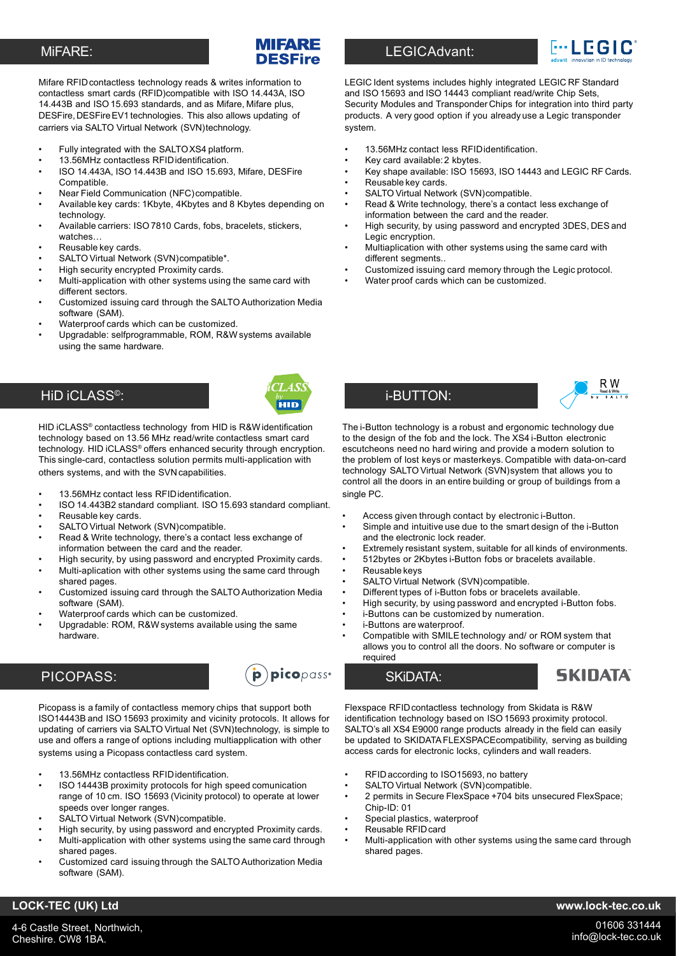### MiFARE:

## MIFARE **DESEire**

Mifare RFIDcontactless technology reads & writes information to contactless smart cards (RFID)compatible with ISO 14.443A, ISO 14.443B and ISO 15.693 standards, and as Mifare, Mifare plus, DESFire, DESFire EV1 technologies. This also allows updating of carriers via SALTO Virtual Network (SVN)technology.

- Fully integrated with the SALTOXS4 platform.
- 13.56MHz contactless RFIDidentification.
- ISO 14.443A, ISO 14.443B and ISO 15.693, Mifare, DESFire Compatible.
- Near Field Communication (NFC)compatible.
- Available key cards: 1Kbyte, 4Kbytes and 8 Kbytes depending on technology.
- Available carriers: ISO 7810 Cards, fobs, bracelets, stickers, watches…
- Reusable key cards.
- SALTO Virtual Network (SVN)compatible\*.
- High security encrypted Proximity cards.
- Multi-application with other systems using the same card with different sectors.
- Customized issuing card through the SALTO Authorization Media software (SAM).
- Waterproof cards which can be customized.
- Upgradable: selfprogrammable, ROM, R&W systems available using the same hardware.

## HiD iCLASS© :



HID iCLASS® contactless technology from HID is R&Widentification technology based on 13.56 MHz read/write contactless smart card technology. HID iCLASS® offers enhanced security through encryption. This single-card, contactless solution permits multi-application with others systems, and with the SVNcapabilities.

- 13.56MHz contact less RFIDidentification.
- ISO 14.443B2 standard compliant. ISO 15.693 standard compliant.
- Reusable key cards.
- SALTO Virtual Network (SVN)compatible.
- Read & Write technology, there's a contact less exchange of information between the card and the reader.
- High security, by using password and encrypted Proximity cards.
- Multi-aplication with other systems using the same card through shared pages.
- Customized issuing card through the SALTO Authorization Media software (SAM).
- Waterproof cards which can be customized.
- Upgradable: ROM, R&W systems available using the same hardware.

## PICOPASS:



Picopass is a family of contactless memory chips that support both ISO14443B and ISO 15693 proximity and vicinity protocols. It allows for updating of carriers via SALTO Virtual Net (SVN)technology, is simple to use and offers a range of options including multiapplication with other systems using a Picopass contactless card system.

- 13.56MHz contactless RFIDidentification.
- ISO 14443B proximity protocols for high speed comunication range of 10 cm. ISO 15693 (Vicinity protocol) to operate at lower speeds over longer ranges.
- SALTO Virtual Network (SVN)compatible.
- High security, by using password and encrypted Proximity cards.
- Multi-application with other systems using the same card through shared pages.
- Customized card issuing through the SALTO Authorization Media software (SAM).

## LEGICAdvant:



LEGIC Ident systems includes highly integrated LEGIC RF Standard and ISO 15693 and ISO 14443 compliant read/write Chip Sets, Security Modules and Transponder Chips for integration into third party products. A very good option if you already use a Legic transponder system.

- 13.56MHz contact less RFIDidentification.
- Key card available:2 kbytes.
- Key shape available: ISO 15693, ISO 14443 and LEGIC RF Cards. Reusable key cards.
- SALTO Virtual Network (SVN)compatible.
- Read & Write technology, there's a contact less exchange of information between the card and the reader.
- High security, by using password and encrypted 3DES, DES and Legic encryption.
- Multiaplication with other systems using the same card with different segments
- Customized issuing card memory through the Legic protocol.
- Water proof cards which can be customized.



The i-Button technology is a robust and ergonomic technology due to the design of the fob and the lock. The XS4 i-Button electronic escutcheons need no hard wiring and provide a modern solution to the problem of lost keys or masterkeys. Compatible with data-on-card technology SALTO Virtual Network (SVN)system that allows you to control all the doors in an entire building or group of buildings from a single PC.

- Access given through contact by electronic i-Button.
- Simple and intuitive use due to the smart design of the i-Button and the electronic lock reader.
- Extremely resistant system, suitable for all kinds of environments.
- 512bytes or 2Kbytes i-Button fobs or bracelets available.
- Reusable keys
- SALTO Virtual Network (SVN)compatible.

i-BUTTON:

- Different types of i-Button fobs or bracelets available.
- High security, by using password and encrypted i-Button fobs.
- i-Buttons can be customized by numeration.
- i-Buttons are waterproof.
- Compatible with SMILE technology and/ or ROM system that allows you to control all the doors. No software or computer is required

SKiDATA:

**SKIDATA** 

Flexspace RFIDcontactless technology from Skidata is R&W identification technology based on ISO 15693 proximity protocol. SALTO's all XS4 E9000 range products already in the field can easily be updated to SKIDATAFLEXSPACEcompatibility, serving as building access cards for electronic locks, cylinders and wall readers.

- RFID according to ISO15693, no battery
- SALTO Virtual Network (SVN)compatible.
- 2 permits in Secure FlexSpace +704 bits unsecured FlexSpace; Chip-ID: 01
- Special plastics, waterproof
- Reusable RFIDcard
- Multi-application with other systems using the same card through shared pages.

#### **LOCK-TEC (UK) Ltd www.lock-tec.co.uk**

4-6 Castle Street, Northwich, Cheshire. CW8 1BA.